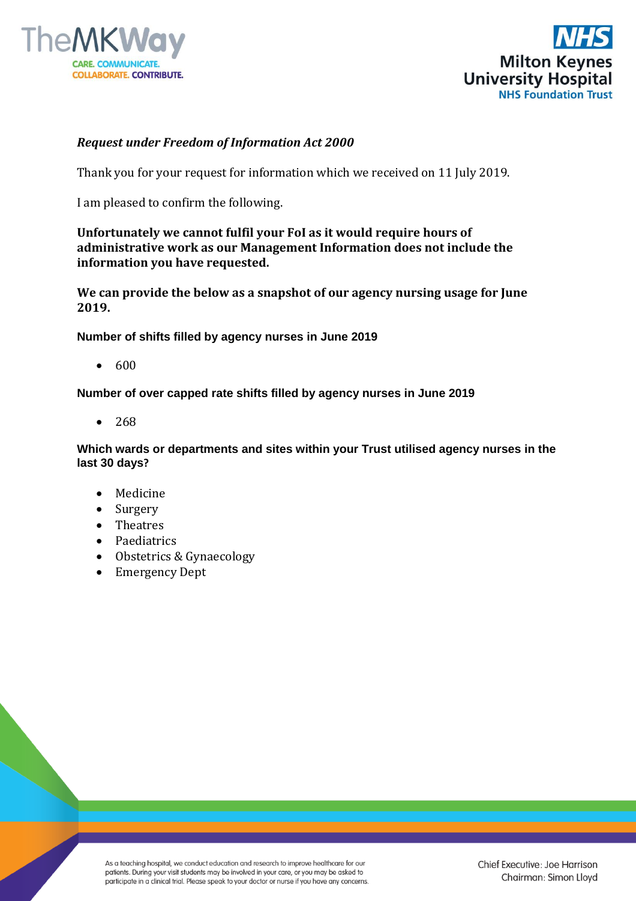



## *Request under Freedom of Information Act 2000*

Thank you for your request for information which we received on 11 July 2019.

I am pleased to confirm the following.

## **Unfortunately we cannot fulfil your FoI as it would require hours of administrative work as our Management Information does not include the information you have requested.**

**We can provide the below as a snapshot of our agency nursing usage for June 2019.**

**Number of shifts filled by agency nurses in June 2019**

 $• 600$ 

**Number of over capped rate shifts filled by agency nurses in June 2019**

 $• 268$ 

**Which wards or departments and sites within your Trust utilised agency nurses in the last 30 days?**

- Medicine
- Surgery
- Theatres
- Paediatrics
- Obstetrics & Gynaecology
- Emergency Dept

As a teaching hospital, we conduct education and research to improve healthcare for our patients. During your visit students may be involved in your care, or you may be asked to participate in a clinical trial. Please speak to your doctor or nurse if you have any concerns.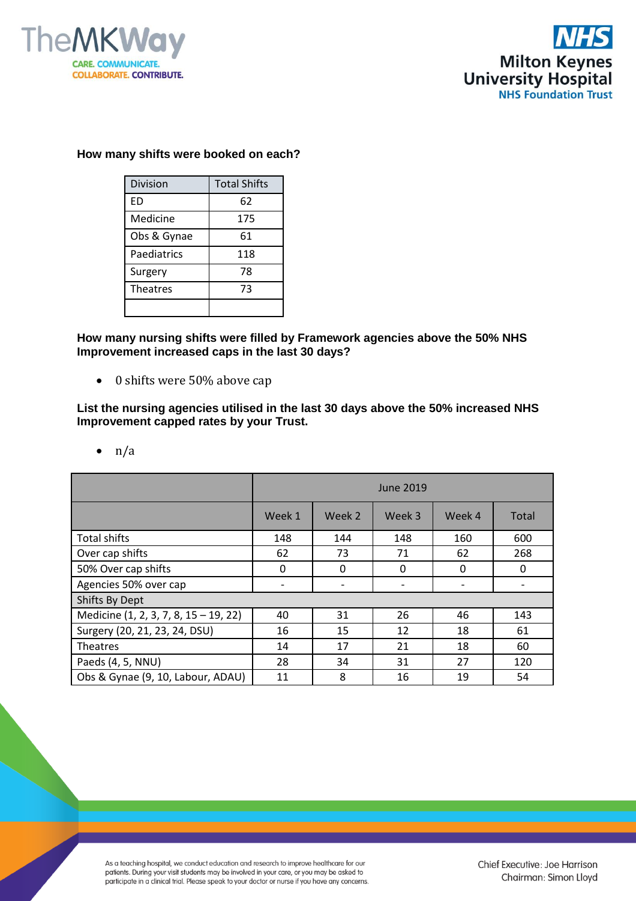



## **How many shifts were booked on each?**

| <b>Division</b> | <b>Total Shifts</b> |  |  |
|-----------------|---------------------|--|--|
| ED              | 62                  |  |  |
| Medicine        | 175                 |  |  |
| Obs & Gynae     | 61                  |  |  |
| Paediatrics     | 118                 |  |  |
| Surgery         | 78                  |  |  |
| <b>Theatres</b> | 73                  |  |  |
|                 |                     |  |  |

**How many nursing shifts were filled by Framework agencies above the 50% NHS Improvement increased caps in the last 30 days?**

• 0 shifts were 50% above cap

**List the nursing agencies utilised in the last 30 days above the 50% increased NHS Improvement capped rates by your Trust.** 

|                                       | June 2019    |        |          |        |       |  |  |  |
|---------------------------------------|--------------|--------|----------|--------|-------|--|--|--|
|                                       | Week 1       | Week 2 | Week 3   | Week 4 | Total |  |  |  |
| <b>Total shifts</b>                   | 148          | 144    | 148      | 160    | 600   |  |  |  |
| Over cap shifts                       | 62           | 73     | 71       | 62     | 268   |  |  |  |
| 50% Over cap shifts                   | $\mathbf{0}$ | 0      | $\Omega$ | 0      | 0     |  |  |  |
| Agencies 50% over cap                 |              |        |          |        |       |  |  |  |
| Shifts By Dept                        |              |        |          |        |       |  |  |  |
| Medicine (1, 2, 3, 7, 8, 15 - 19, 22) | 40           | 31     | 26       | 46     | 143   |  |  |  |
| Surgery (20, 21, 23, 24, DSU)         | 16           | 15     | 12       | 18     | 61    |  |  |  |
| Theatres                              | 14           | 17     | 21       | 18     | 60    |  |  |  |
| Paeds (4, 5, NNU)                     | 28           | 34     | 31       | 27     | 120   |  |  |  |
| Obs & Gynae (9, 10, Labour, ADAU)     | 11           | 8      | 16       | 19     | 54    |  |  |  |

 $\bullet$  n/a

As a teaching hospital, we conduct education and research to improve healthcare for our patients. During your visit students may be involved in your care, or you may be asked to participate in a clinical trial. Please speak to your doctor or nurse if you have any concerns.